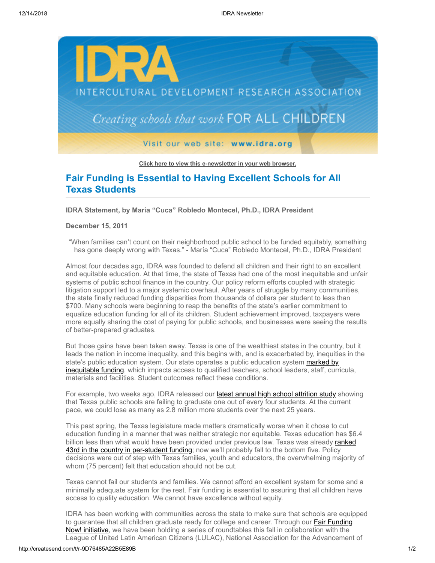

**[Click here to view this e-newsletter in your web browser.](http://newsletter.impulsedevelopment.com/t/r/e/itujay/l/)**

## **Fair Funding is Essential to Having Excellent Schools for All Texas Students**

**IDRA Statement, by María "Cuca" Robledo Montecel, Ph.D., IDRA President** 

## **December 15, 2011**

"When families can't count on their neighborhood public school to be funded equitably, something has gone deeply wrong with Texas." - María "Cuca" Robledo Montecel, Ph.D., IDRA President

Almost four decades ago, IDRA was founded to defend all children and their right to an excellent and equitable education. At that time, the state of Texas had one of the most inequitable and unfair systems of public school finance in the country. Our policy reform efforts coupled with strategic litigation support led to a major systemic overhaul. After years of struggle by many communities, the state finally reduced funding disparities from thousands of dollars per student to less than \$700. Many schools were beginning to reap the benefits of the state's earlier commitment to equalize education funding for all of its children. Student achievement improved, taxpayers were more equally sharing the cost of paying for public schools, and businesses were seeing the results of better-prepared graduates.

But those gains have been taken away. Texas is one of the wealthiest states in the country, but it leads the nation in income inequality, and this begins with, and is exacerbated by, inequities in the state's public education system. Our state operates a public education system marked by [inequitable funding, which impacts access to qualified teachers, school leaders, staff, curr](http://newsletter.impulsedevelopment.com/t/r/l/itujay/l/y/)icula, materials and facilities. Student outcomes reflect these conditions.

For example, two weeks ago, IDRA released our **latest annual high school attrition study** showing that Texas public schools are failing to graduate one out of every four students. At the current pace, we could lose as many as 2.8 million more students over the next 25 years.

This past spring, the Texas legislature made matters dramatically worse when it chose to cut education funding in a manner that was neither strategic nor equitable. Texas education has \$6.4 [billion less than what would have been provided under previous law. Texas was already ranked](http://newsletter.impulsedevelopment.com/t/r/l/itujay/l/h/) 43rd in the country in per-student funding; now we'll probably fall to the bottom five. Policy decisions were out of step with Texas families, youth and educators, the overwhelming majority of whom (75 percent) felt that education should not be cut.

Texas cannot fail our students and families. We cannot afford an excellent system for some and a minimally adequate system for the rest. Fair funding is essential to assuring that all children have access to quality education. We cannot have excellence without equity.

IDRA has been working with communities across the state to make sure that schools are equipped to guarantee that all children graduate ready for college and career. Through our **Fair Funding** Now! initiative, we have been holding a series of roundtables this fall in collaboration with the League of United Latin American Citizens (LULAC), National Association for the Advancement of